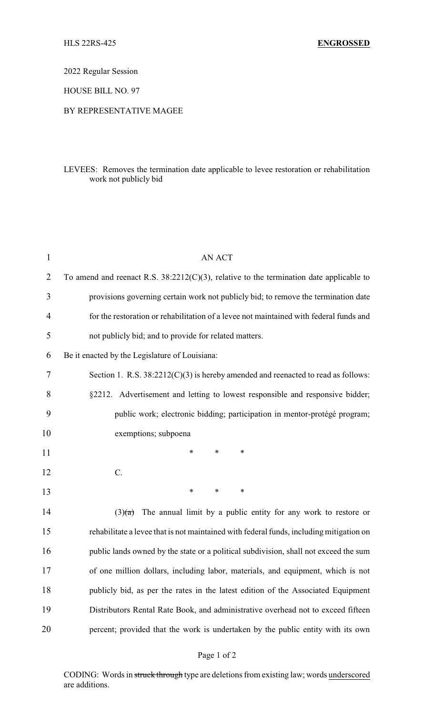2022 Regular Session

HOUSE BILL NO. 97

## BY REPRESENTATIVE MAGEE

## LEVEES: Removes the termination date applicable to levee restoration or rehabilitation work not publicly bid

| $\mathbf{1}$ | <b>AN ACT</b>                                                                              |
|--------------|--------------------------------------------------------------------------------------------|
| 2            | To amend and reenact R.S. $38:2212(C)(3)$ , relative to the termination date applicable to |
| 3            | provisions governing certain work not publicly bid; to remove the termination date         |
| 4            | for the restoration or rehabilitation of a levee not maintained with federal funds and     |
| 5            | not publicly bid; and to provide for related matters.                                      |
| 6            | Be it enacted by the Legislature of Louisiana:                                             |
| 7            | Section 1. R.S. $38:2212(C)(3)$ is hereby amended and reenacted to read as follows:        |
| 8            | §2212. Advertisement and letting to lowest responsible and responsive bidder;              |
| 9            | public work; electronic bidding; participation in mentor-protégé program;                  |
| 10           | exemptions; subpoena                                                                       |
| 11           | $\ast$<br>$\ast$<br>*                                                                      |
| 12           | $C$ .                                                                                      |
| 13           | $\ast$<br>$\ast$<br>∗                                                                      |
| 14           | The annual limit by a public entity for any work to restore or<br>(3)(a)                   |
| 15           | rehabilitate a levee that is not maintained with federal funds, including mitigation on    |
| 16           | public lands owned by the state or a political subdivision, shall not exceed the sum       |
| 17           | of one million dollars, including labor, materials, and equipment, which is not            |
| 18           | publicly bid, as per the rates in the latest edition of the Associated Equipment           |
| 19           | Distributors Rental Rate Book, and administrative overhead not to exceed fifteen           |
| 20           | percent; provided that the work is undertaken by the public entity with its own            |

## Page 1 of 2

CODING: Words in struck through type are deletions from existing law; words underscored are additions.